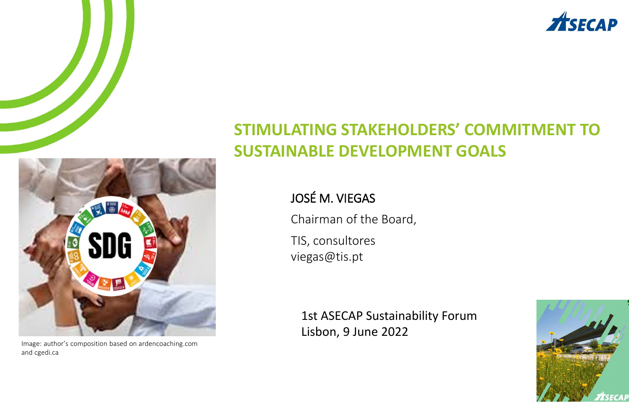

#### **STIMULATING STAKEHOLDERS' COMMITMENT TO SUSTAINABLE DEVELOPMENT GOALS**

#### JOSÉ M. VIEGAS

Chairman of the Board, TIS, consultores viegas@tis.pt

1st ASECAP Sustainability Forum Lisbon, 9 June 2022





Image: author's composition based on ardencoaching.com and cgedi.ca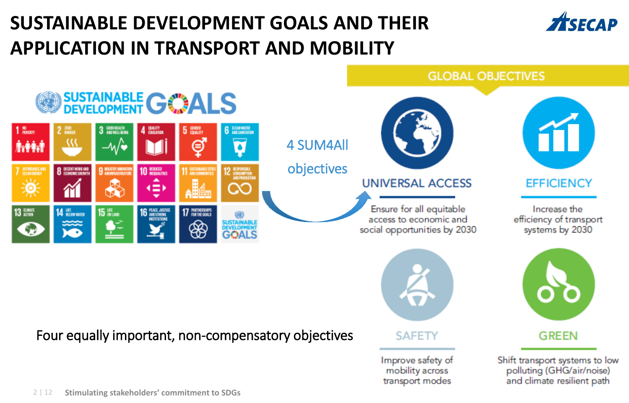## **SUSTAINABLE DEVELOPMENT GOALS AND THEIR APPLICATION IN TRANSPORT AND MOBILITY**





#### Four equally important, non-compensatory objectives



**SAFETY** 

Improve safety of mobility across transport modes

**GREEN** 

Shift transport systems to low<br>polluting (GHG/air/noise) and climate resilient path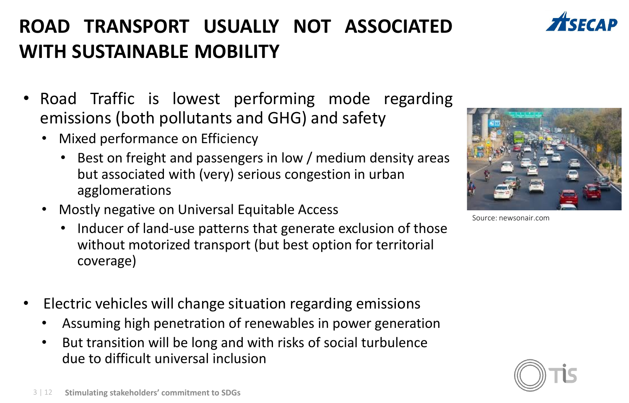### **ROAD TRANSPORT USUALLY NOT ASSOCIATED WITH SUSTAINABLE MOBILITY**

- Road Traffic is lowest performing mode regarding emissions (both pollutants and GHG) and safety
	- Mixed performance on Efficiency
		- Best on freight and passengers in low / medium density areas but associated with (very) serious congestion in urban agglomerations
	- Mostly negative on Universal Equitable Access
		- Inducer of land-use patterns that generate exclusion of those without motorized transport (but best option for territorial coverage)
- Electric vehicles will change situation regarding emissions
	- Assuming high penetration of renewables in power generation
	- But transition will be long and with risks of social turbulence due to difficult universal inclusion

Source: newsonair.com





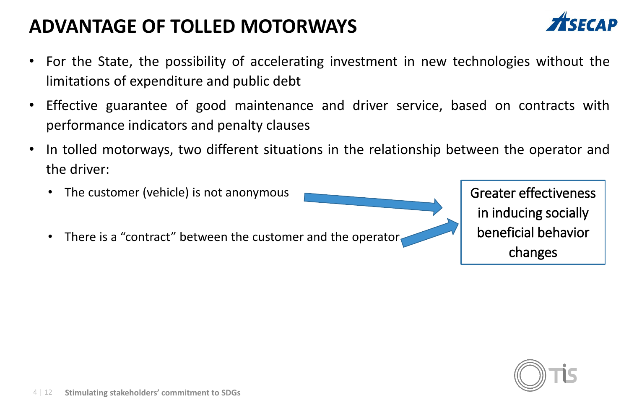#### **ADVANTAGE OF TOLLED MOTORWAYS**



- For the State, the possibility of accelerating investment in new technologies without the limitations of expenditure and public debt
- Effective guarantee of good maintenance and driver service, based on contracts with performance indicators and penalty clauses
- In tolled motorways, two different situations in the relationship between the operator and the driver:
	- The customer (vehicle) is not anonymous There is a "contract" between the customer and the operator Greater effectiveness in inducing socially beneficial behavior changes

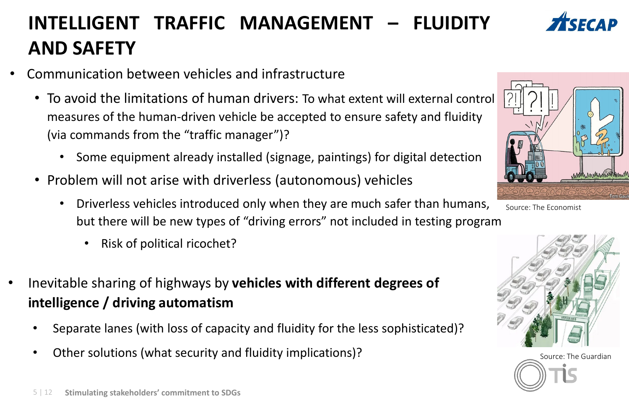#### 5 | 12 **Stimulating stakeholders' commitment to SDGs**

## **INTELLIGENT TRAFFIC MANAGEMENT – FLUIDITY AND SAFETY**

- Communication between vehicles and infrastructure
	- To avoid the limitations of human drivers: To what extent will external control measures of the human-driven vehicle be accepted to ensure safety and fluidity (via commands from the "traffic manager")?
		- Some equipment already installed (signage, paintings) for digital detection
	- Problem will not arise with driverless (autonomous) vehicles
		- Driverless vehicles introduced only when they are much safer than humans, but there will be new types of "driving errors" not included in testing program
			- Risk of political ricochet?
- Inevitable sharing of highways by **vehicles with different degrees of intelligence / driving automatism**
	- Separate lanes (with loss of capacity and fluidity for the less sophisticated)?
	- Other solutions (what security and fluidity implications)? The Source: The Guardian







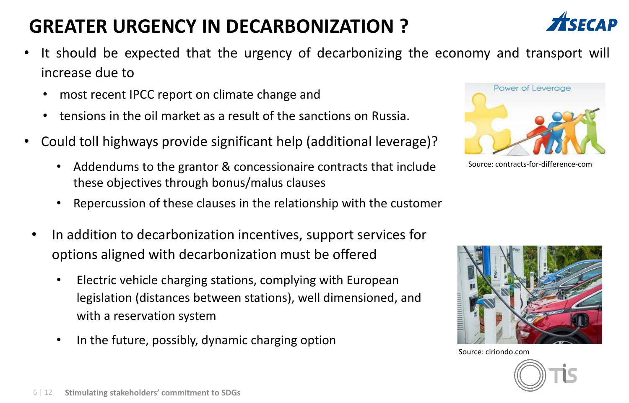#### **GREATER URGENCY IN DECARBONIZATION ?**

- It should be expected that the urgency of decarbonizing the economy and transport will increase due to
	- most recent IPCC report on climate change and
	- tensions in the oil market as a result of the sanctions on Russia.
- Could toll highways provide significant help (additional leverage)?
	- Addendums to the grantor & concessionaire contracts that include these objectives through bonus/malus clauses
	- Repercussion of these clauses in the relationship with the customer
	- In addition to decarbonization incentives, support services for options aligned with decarbonization must be offered
		- Electric vehicle charging stations, complying with European legislation (distances between stations), well dimensioned, and with a reservation system
		- In the future, possibly, dynamic charging option



Source: contracts-for-difference-com







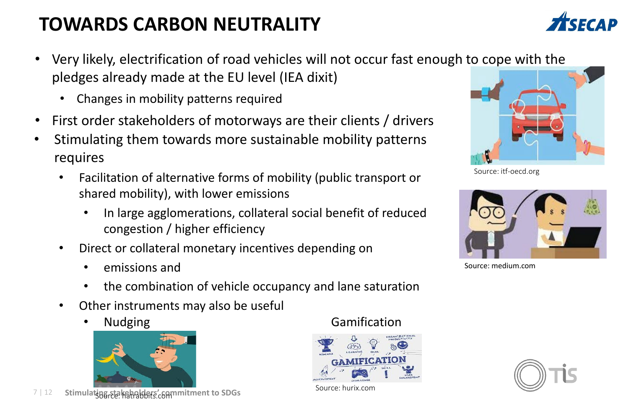### **TOWARDS CARBON NEUTRALITY**

- Very likely, electrification of road vehicles will not occur fast enough to cope with the pledges already made at the EU level (IEA dixit)
	- Changes in mobility patterns required
- First order stakeholders of motorways are their clients / drivers
- Stimulating them towards more sustainable mobility patterns requires
	- Facilitation of alternative forms of mobility (public transport or shared mobility), with lower emissions
		- In large agglomerations, collateral social benefit of reduced congestion / higher efficiency
	- Direct or collateral monetary incentives depending on
		- emissions and
		- the combination of vehicle occupancy and lane saturation
	- Other instruments may also be useful
		-



7 | 12 Stimulat<del>i</del>ng stakeholders' commitment to SDGs

#### **Property Mudging Camification**



Source: hurix.com



Source: itf-oecd.org



Source: medium.com



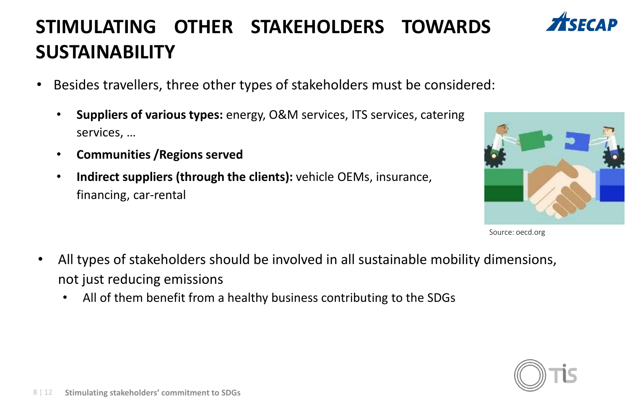### **STIMULATING OTHER STAKEHOLDERS TOWARDS SUSTAINABILITY**

- Besides travellers, three other types of stakeholders must be considered:
	- **Suppliers of various types:** energy, O&M services, ITS services, catering services, …
	- **Communities /Regions served**
	- **Indirect suppliers (through the clients):** vehicle OEMs, insurance, financing, car-rental



Source: oecd.org

- All types of stakeholders should be involved in all sustainable mobility dimensions, not just reducing emissions
	- All of them benefit from a healthy business contributing to the SDGs

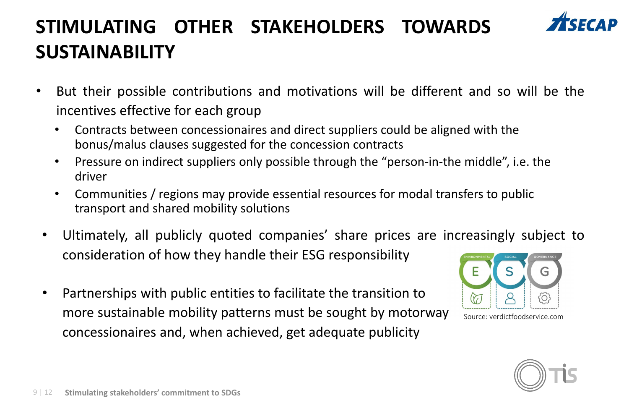## **STIMULATING OTHER STAKEHOLDERS TOWARDS SUSTAINABILITY**



- But their possible contributions and motivations will be different and so will be the incentives effective for each group
	- Contracts between concessionaires and direct suppliers could be aligned with the bonus/malus clauses suggested for the concession contracts
	- Pressure on indirect suppliers only possible through the "person-in-the middle", i.e. the driver
	- Communities / regions may provide essential resources for modal transfers to public transport and shared mobility solutions
- Ultimately, all publicly quoted companies' share prices are increasingly subject to consideration of how they handle their ESG responsibility
- Partnerships with public entities to facilitate the transition to more sustainable mobility patterns must be sought by motorway concessionaires and, when achieved, get adequate publicity



Source: verdictfoodservice.com

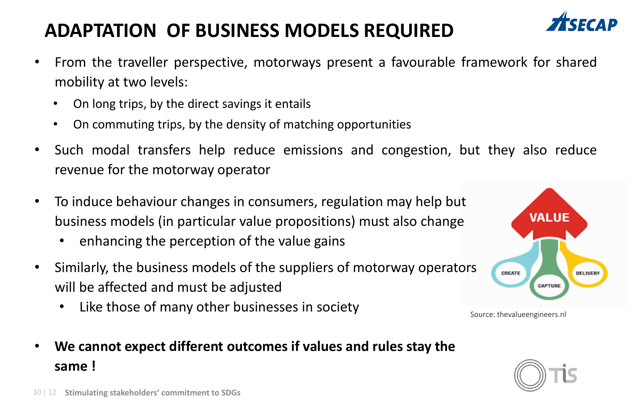#### **ADAPTATION OF BUSINESS MODELS REQUIRED**



- From the traveller perspective, motorways present a favourable framework for shared mobility at two levels:
	- On long trips, by the direct savings it entails
	- On commuting trips, by the density of matching opportunities
- Such modal transfers help reduce emissions and congestion, but they also reduce revenue for the motorway operator
- To induce behaviour changes in consumers, regulation may help but business models (in particular value propositions) must also change
	- enhancing the perception of the value gains
- Similarly, the business models of the suppliers of motorway operators will be affected and must be adjusted

• **We cannot expect different outcomes if values and rules stay the** 

Like those of many other businesses in society

**VALUE** CREATE DELIVERY CAPTURE

Source: thevalueengineers.nl

**same !**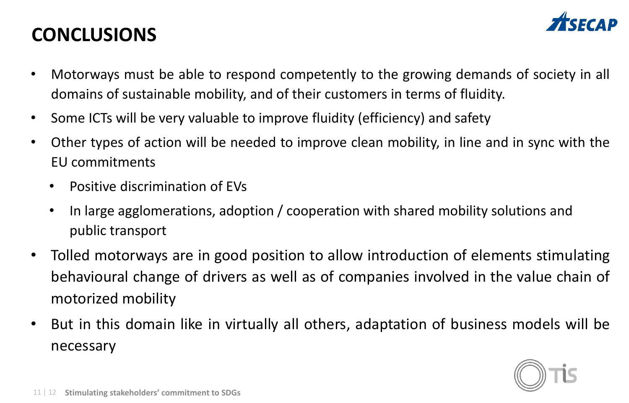#### **CONCLUSIONS**



- Motorways must be able to respond competently to the growing demands of society in all domains of sustainable mobility, and of their customers in terms of fluidity.
- Some ICTs will be very valuable to improve fluidity (efficiency) and safety
- Other types of action will be needed to improve clean mobility, in line and in sync with the EU commitments
	- Positive discrimination of EVs
	- In large agglomerations, adoption / cooperation with shared mobility solutions and public transport
- Tolled motorways are in good position to allow introduction of elements stimulating behavioural change of drivers as well as of companies involved in the value chain of motorized mobility
- But in this domain like in virtually all others, adaptation of business models will be necessary